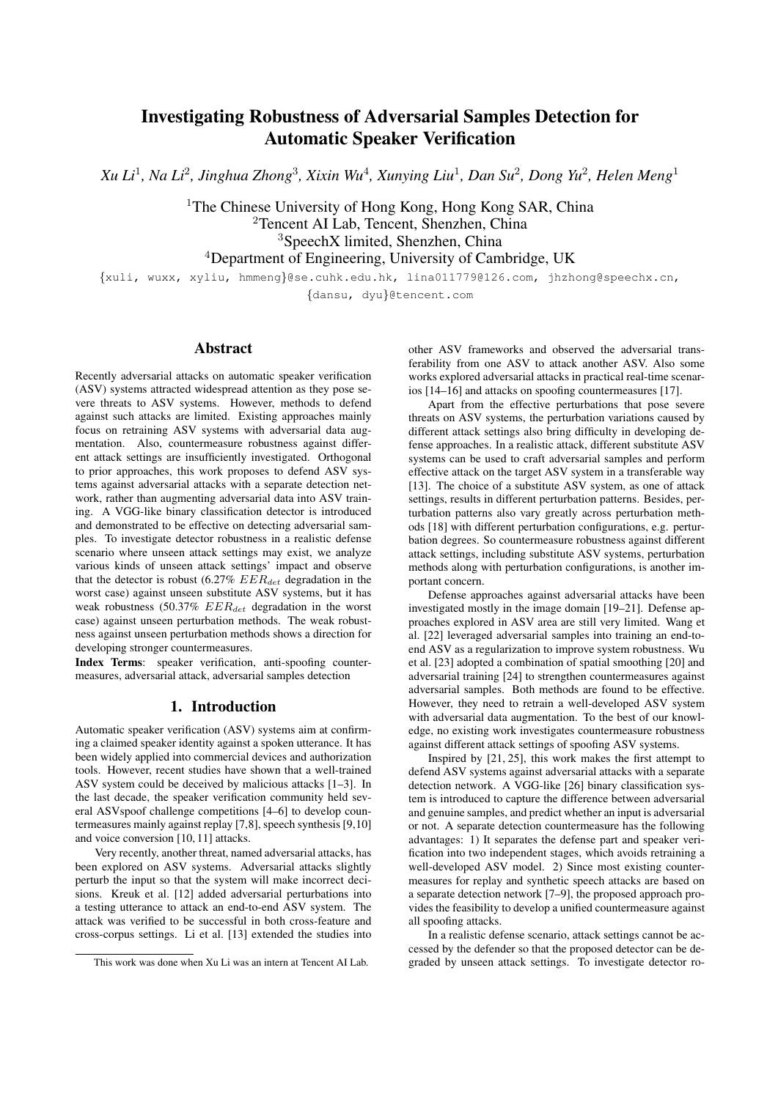# Investigating Robustness of Adversarial Samples Detection for Automatic Speaker Verification

*Xu Li*<sup>1</sup> *, Na Li*<sup>2</sup> *, Jinghua Zhong*<sup>3</sup> *, Xixin Wu*<sup>4</sup> *, Xunying Liu*<sup>1</sup> *, Dan Su*<sup>2</sup> *, Dong Yu*<sup>2</sup> *, Helen Meng*<sup>1</sup>

<sup>1</sup>The Chinese University of Hong Kong, Hong Kong SAR, China Tencent AI Lab, Tencent, Shenzhen, China SpeechX limited, Shenzhen, China Department of Engineering, University of Cambridge, UK

{xuli, wuxx, xyliu, hmmeng}@se.cuhk.edu.hk, lina011779@126.com, jhzhong@speechx.cn, {dansu, dyu}@tencent.com

### Abstract

Recently adversarial attacks on automatic speaker verification (ASV) systems attracted widespread attention as they pose severe threats to ASV systems. However, methods to defend against such attacks are limited. Existing approaches mainly focus on retraining ASV systems with adversarial data augmentation. Also, countermeasure robustness against different attack settings are insufficiently investigated. Orthogonal to prior approaches, this work proposes to defend ASV systems against adversarial attacks with a separate detection network, rather than augmenting adversarial data into ASV training. A VGG-like binary classification detector is introduced and demonstrated to be effective on detecting adversarial samples. To investigate detector robustness in a realistic defense scenario where unseen attack settings may exist, we analyze various kinds of unseen attack settings' impact and observe that the detector is robust (6.27%  $EER_{det}$  degradation in the worst case) against unseen substitute ASV systems, but it has weak robustness (50.37%  $EER_{det}$  degradation in the worst case) against unseen perturbation methods. The weak robustness against unseen perturbation methods shows a direction for developing stronger countermeasures.

Index Terms: speaker verification, anti-spoofing countermeasures, adversarial attack, adversarial samples detection

### 1. Introduction

Automatic speaker verification (ASV) systems aim at confirming a claimed speaker identity against a spoken utterance. It has been widely applied into commercial devices and authorization tools. However, recent studies have shown that a well-trained ASV system could be deceived by malicious attacks [1–3]. In the last decade, the speaker verification community held several ASVspoof challenge competitions [4–6] to develop countermeasures mainly against replay [7,8], speech synthesis [9,10] and voice conversion [10, 11] attacks.

Very recently, another threat, named adversarial attacks, has been explored on ASV systems. Adversarial attacks slightly perturb the input so that the system will make incorrect decisions. Kreuk et al. [12] added adversarial perturbations into a testing utterance to attack an end-to-end ASV system. The attack was verified to be successful in both cross-feature and cross-corpus settings. Li et al. [13] extended the studies into other ASV frameworks and observed the adversarial transferability from one ASV to attack another ASV. Also some works explored adversarial attacks in practical real-time scenarios [14–16] and attacks on spoofing countermeasures [17].

Apart from the effective perturbations that pose severe threats on ASV systems, the perturbation variations caused by different attack settings also bring difficulty in developing defense approaches. In a realistic attack, different substitute ASV systems can be used to craft adversarial samples and perform effective attack on the target ASV system in a transferable way [13]. The choice of a substitute ASV system, as one of attack settings, results in different perturbation patterns. Besides, perturbation patterns also vary greatly across perturbation methods [18] with different perturbation configurations, e.g. perturbation degrees. So countermeasure robustness against different attack settings, including substitute ASV systems, perturbation methods along with perturbation configurations, is another important concern.

Defense approaches against adversarial attacks have been investigated mostly in the image domain [19–21]. Defense approaches explored in ASV area are still very limited. Wang et al. [22] leveraged adversarial samples into training an end-toend ASV as a regularization to improve system robustness. Wu et al. [23] adopted a combination of spatial smoothing [20] and adversarial training [24] to strengthen countermeasures against adversarial samples. Both methods are found to be effective. However, they need to retrain a well-developed ASV system with adversarial data augmentation. To the best of our knowledge, no existing work investigates countermeasure robustness against different attack settings of spoofing ASV systems.

Inspired by [21, 25], this work makes the first attempt to defend ASV systems against adversarial attacks with a separate detection network. A VGG-like [26] binary classification system is introduced to capture the difference between adversarial and genuine samples, and predict whether an input is adversarial or not. A separate detection countermeasure has the following advantages: 1) It separates the defense part and speaker verification into two independent stages, which avoids retraining a well-developed ASV model. 2) Since most existing countermeasures for replay and synthetic speech attacks are based on a separate detection network [7–9], the proposed approach provides the feasibility to develop a unified countermeasure against all spoofing attacks.

In a realistic defense scenario, attack settings cannot be accessed by the defender so that the proposed detector can be degraded by unseen attack settings. To investigate detector ro-

This work was done when Xu Li was an intern at Tencent AI Lab.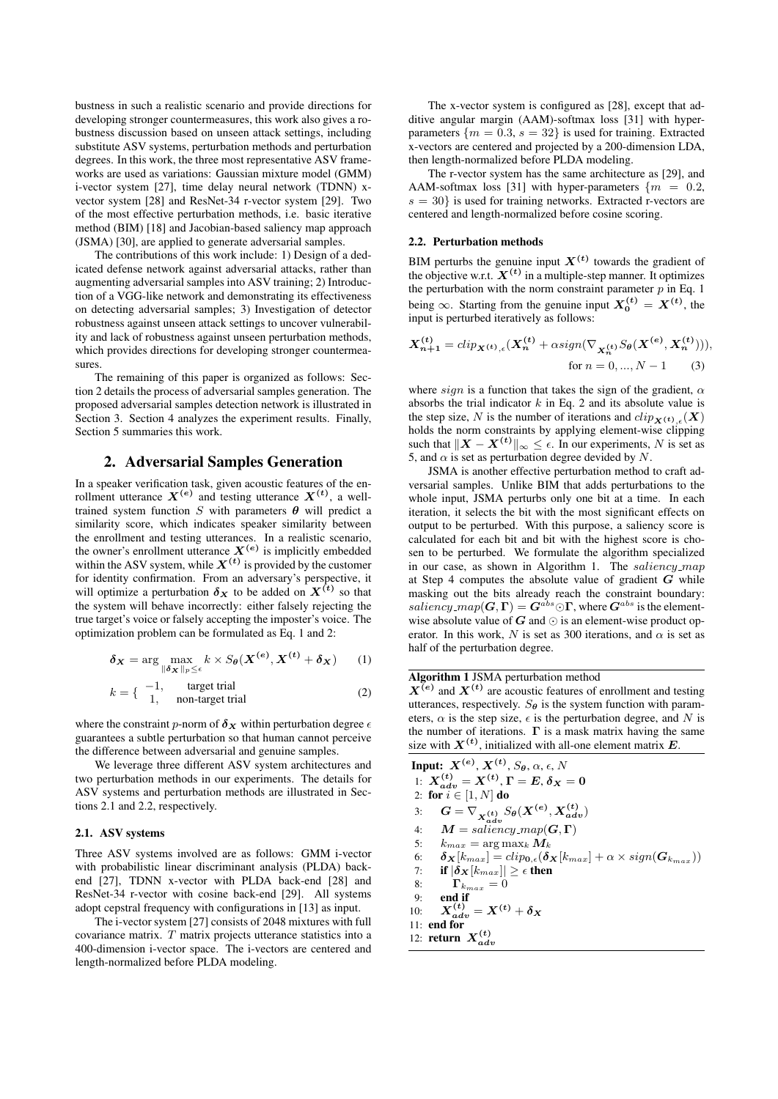bustness in such a realistic scenario and provide directions for developing stronger countermeasures, this work also gives a robustness discussion based on unseen attack settings, including substitute ASV systems, perturbation methods and perturbation degrees. In this work, the three most representative ASV frameworks are used as variations: Gaussian mixture model (GMM) i-vector system [27], time delay neural network (TDNN) xvector system [28] and ResNet-34 r-vector system [29]. Two of the most effective perturbation methods, i.e. basic iterative method (BIM) [18] and Jacobian-based saliency map approach (JSMA) [30], are applied to generate adversarial samples.

The contributions of this work include: 1) Design of a dedicated defense network against adversarial attacks, rather than augmenting adversarial samples into ASV training; 2) Introduction of a VGG-like network and demonstrating its effectiveness on detecting adversarial samples; 3) Investigation of detector robustness against unseen attack settings to uncover vulnerability and lack of robustness against unseen perturbation methods, which provides directions for developing stronger countermeasures.

The remaining of this paper is organized as follows: Section 2 details the process of adversarial samples generation. The proposed adversarial samples detection network is illustrated in Section 3. Section 4 analyzes the experiment results. Finally, Section 5 summaries this work.

### 2. Adversarial Samples Generation

In a speaker verification task, given acoustic features of the enrollment utterance  $X^{(e)}$  and testing utterance  $X^{(t)}$ , a welltrained system function  $S$  with parameters  $\theta$  will predict a similarity score, which indicates speaker similarity between the enrollment and testing utterances. In a realistic scenario, the owner's enrollment utterance  $X^{(e)}$  is implicitly embedded within the ASV system, while  $X^{(t)}$  is provided by the customer for identity confirmation. From an adversary's perspective, it will optimize a perturbation  $\delta_X$  to be added on  $X^{(t)}$  so that the system will behave incorrectly: either falsely rejecting the true target's voice or falsely accepting the imposter's voice. The optimization problem can be formulated as Eq. 1 and 2:

$$
\delta_{\mathbf{X}} = \arg \max_{\|\delta_{\mathbf{X}}\|_p \leq \epsilon} k \times S_{\theta}(\mathbf{X}^{(\epsilon)}, \mathbf{X}^{(t)} + \delta_{\mathbf{X}})
$$
 (1)

$$
k = \begin{cases} -1, & \text{target trial} \\ 1, & \text{non-target trial} \end{cases}
$$
 (2)

where the constraint p-norm of  $\delta_X$  within perturbation degree  $\epsilon$ guarantees a subtle perturbation so that human cannot perceive the difference between adversarial and genuine samples.

We leverage three different ASV system architectures and two perturbation methods in our experiments. The details for ASV systems and perturbation methods are illustrated in Sections 2.1 and 2.2, respectively.

### 2.1. ASV systems

Three ASV systems involved are as follows: GMM i-vector with probabilistic linear discriminant analysis (PLDA) backend [27], TDNN x-vector with PLDA back-end [28] and ResNet-34 r-vector with cosine back-end [29]. All systems adopt cepstral frequency with configurations in [13] as input.

The i-vector system [27] consists of 2048 mixtures with full covariance matrix.  $T$  matrix projects utterance statistics into a 400-dimension i-vector space. The i-vectors are centered and length-normalized before PLDA modeling.

The x-vector system is configured as [28], except that additive angular margin (AAM)-softmax loss [31] with hyperparameters  $\{m = 0.3, s = 32\}$  is used for training. Extracted x-vectors are centered and projected by a 200-dimension LDA, then length-normalized before PLDA modeling.

The r-vector system has the same architecture as [29], and AAM-softmax loss [31] with hyper-parameters  $\{m = 0.2,$  $s = 30$  is used for training networks. Extracted r-vectors are centered and length-normalized before cosine scoring.

#### 2.2. Perturbation methods

BIM perturbs the genuine input  $X^{(t)}$  towards the gradient of the objective w.r.t.  $X^{(t)}$  in a multiple-step manner. It optimizes the perturbation with the norm constraint parameter  $p$  in Eq. 1 being  $\infty$ . Starting from the genuine input  $X_0^{(t)} = X^{(t)}$ , the input is perturbed iteratively as follows:

$$
X_{n+1}^{(t)} = clip_{X^{(t)}, \epsilon}(X_n^{(t)} + \alpha sign(\nabla_{X_n^{(t)}} S_{\theta}(X^{(e)}, X_n^{(t)}))),
$$
  
for  $n = 0, ..., N - 1$  (3)

where sign is a function that takes the sign of the gradient,  $\alpha$ absorbs the trial indicator  $k$  in Eq. 2 and its absolute value is the step size, N is the number of iterations and  $clip_{\mathbf{Y}(t)}(X)$ holds the norm constraints by applying element-wise clipping such that  $||X - X^{(t)}||_{\infty} \leq \epsilon$ . In our experiments, N is set as 5, and  $\alpha$  is set as perturbation degree devided by N.

JSMA is another effective perturbation method to craft adversarial samples. Unlike BIM that adds perturbations to the whole input, JSMA perturbs only one bit at a time. In each iteration, it selects the bit with the most significant effects on output to be perturbed. With this purpose, a saliency score is calculated for each bit and bit with the highest score is chosen to be perturbed. We formulate the algorithm specialized in our case, as shown in Algorithm 1. The saliency map at Step 4 computes the absolute value of gradient  $G$  while masking out the bits already reach the constraint boundary:  $saliency\_map$   $(\boldsymbol{G}, \boldsymbol{\Gamma}) = \boldsymbol{G}^{abs} \odot \boldsymbol{\Gamma}$ , where  $\boldsymbol{G}^{abs}$  is the elementwise absolute value of  $G$  and  $\odot$  is an element-wise product operator. In this work, N is set as 300 iterations, and  $\alpha$  is set as half of the perturbation degree.

## Algorithm 1 JSMA perturbation method

 $X^{(e)}$  and  $X^{(t)}$  are acoustic features of enrollment and testing utterances, respectively.  $S_{\theta}$  is the system function with parameters,  $\alpha$  is the step size,  $\epsilon$  is the perturbation degree, and N is the number of iterations.  $\Gamma$  is a mask matrix having the same size with  $X^{(t)}$ , initialized with all-one element matrix E.

Input:  $\boldsymbol{X^{(e)}}, \boldsymbol{X^{(t)}}, S_{\boldsymbol{\theta}}, \alpha, \epsilon, N$ 1:  $X_{adv}^{(t)} = X^{(t)}, \Gamma = E, \delta_X = 0$ 2: for  $i \in [1,N]$  do 3:  $G = \nabla_{\substack{X^{(t)} \ d d v}} S_{\theta}(X^{(e)}, X^{(t)}_{adv})$ 4:  $M = \textit{saliency\_map}(G, \Gamma)$ 5:  $k_{max} = \arg \max_k \mathbf{M}_k$ 6:  $\delta_{\mathbf{X}}[k_{max}] = clip_{\mathbf{0},\epsilon}(\delta_{\mathbf{X}}[k_{max}] + \alpha \times sign(\mathbf{G}_{k_{max}}))$ <br>7: **if**  $|\delta_{\mathbf{X}}[k_{max}]| > \epsilon$  then if  $|\pmb{\delta_X}[k_{max}]| \geq \epsilon$  then 8:  $\Gamma_{k_{max}} = 0$ 9: end if 10:  $X_{adv}^{(t)} = X^{(t)} + \delta_X$ 11: end for 12: **return**  $X_{adv}^{(t)}$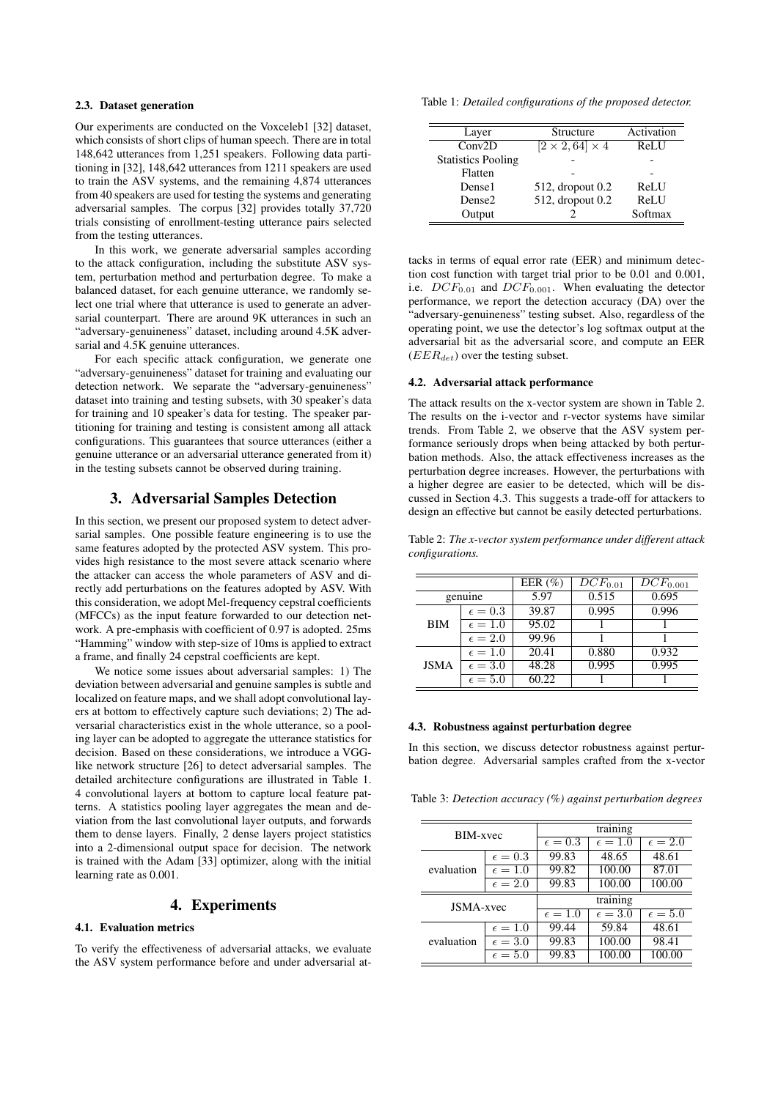### 2.3. Dataset generation

Our experiments are conducted on the Voxceleb1 [32] dataset, which consists of short clips of human speech. There are in total 148,642 utterances from 1,251 speakers. Following data partitioning in [32], 148,642 utterances from 1211 speakers are used to train the ASV systems, and the remaining 4,874 utterances from 40 speakers are used for testing the systems and generating adversarial samples. The corpus [32] provides totally 37,720 trials consisting of enrollment-testing utterance pairs selected from the testing utterances.

In this work, we generate adversarial samples according to the attack configuration, including the substitute ASV system, perturbation method and perturbation degree. To make a balanced dataset, for each genuine utterance, we randomly select one trial where that utterance is used to generate an adversarial counterpart. There are around 9K utterances in such an "adversary-genuineness" dataset, including around 4.5K adversarial and  $4.5K$  genuine utterances.

For each specific attack configuration, we generate one "adversary-genuineness" dataset for training and evaluating our detection network. We separate the "adversary-genuineness" dataset into training and testing subsets, with 30 speaker's data for training and 10 speaker's data for testing. The speaker partitioning for training and testing is consistent among all attack configurations. This guarantees that source utterances (either a genuine utterance or an adversarial utterance generated from it) in the testing subsets cannot be observed during training.

### 3. Adversarial Samples Detection

In this section, we present our proposed system to detect adversarial samples. One possible feature engineering is to use the same features adopted by the protected ASV system. This provides high resistance to the most severe attack scenario where the attacker can access the whole parameters of ASV and directly add perturbations on the features adopted by ASV. With this consideration, we adopt Mel-frequency cepstral coefficients (MFCCs) as the input feature forwarded to our detection network. A pre-emphasis with coefficient of 0.97 is adopted. 25ms "Hamming" window with step-size of 10ms is applied to extract a frame, and finally 24 cepstral coefficients are kept.

We notice some issues about adversarial samples: 1) The deviation between adversarial and genuine samples is subtle and localized on feature maps, and we shall adopt convolutional layers at bottom to effectively capture such deviations; 2) The adversarial characteristics exist in the whole utterance, so a pooling layer can be adopted to aggregate the utterance statistics for decision. Based on these considerations, we introduce a VGGlike network structure [26] to detect adversarial samples. The detailed architecture configurations are illustrated in Table 1. 4 convolutional layers at bottom to capture local feature patterns. A statistics pooling layer aggregates the mean and deviation from the last convolutional layer outputs, and forwards them to dense layers. Finally, 2 dense layers project statistics into a 2-dimensional output space for decision. The network is trained with the Adam [33] optimizer, along with the initial learning rate as 0.001.

# 4. Experiments

### 4.1. Evaluation metrics

To verify the effectiveness of adversarial attacks, we evaluate the ASV system performance before and under adversarial at-

Table 1: *Detailed configurations of the proposed detector.*

| Layer                     | Structure                   | Activation |
|---------------------------|-----------------------------|------------|
| Conv2D                    | $[2 \times 2, 64] \times 4$ | ReLU       |
| <b>Statistics Pooling</b> |                             |            |
| Flatten                   |                             |            |
| Dense1                    | 512, dropout 0.2            | ReLU       |
| Dense2                    | 512, dropout 0.2            | ReLU       |
| Output                    |                             | Softmax    |

tacks in terms of equal error rate (EER) and minimum detection cost function with target trial prior to be 0.01 and 0.001, i.e.  $DCF_{0.01}$  and  $DCF_{0.001}$ . When evaluating the detector performance, we report the detection accuracy (DA) over the "adversary-genuineness" testing subset. Also, regardless of the operating point, we use the detector's log softmax output at the adversarial bit as the adversarial score, and compute an EER  $(EER_{det})$  over the testing subset.

#### 4.2. Adversarial attack performance

The attack results on the x-vector system are shown in Table 2. The results on the i-vector and r-vector systems have similar trends. From Table 2, we observe that the ASV system performance seriously drops when being attacked by both perturbation methods. Also, the attack effectiveness increases as the perturbation degree increases. However, the perturbations with a higher degree are easier to be detected, which will be discussed in Section 4.3. This suggests a trade-off for attackers to design an effective but cannot be easily detected perturbations.

Table 2: *The x-vector system performance under different attack configurations.*

|             |                  | EER $(\% )$ | $DCF_{0.01}$ | $DCF_{0.001}$ |
|-------------|------------------|-------------|--------------|---------------|
| genuine     |                  | 5.97        | 0.515        | 0.695         |
| BIM         | $\epsilon = 0.3$ | 39.87       | 0.995        | 0.996         |
|             | $\epsilon = 1.0$ | 95.02       |              |               |
|             | $\epsilon = 2.0$ | 99.96       |              |               |
| <b>JSMA</b> | $\epsilon = 1.0$ | 20.41       | 0.880        | 0.932         |
|             | $\epsilon = 3.0$ | 48.28       | 0.995        | 0.995         |
|             | $\epsilon = 5.0$ | 60.22       |              |               |

### 4.3. Robustness against perturbation degree

In this section, we discuss detector robustness against perturbation degree. Adversarial samples crafted from the x-vector

Table 3: *Detection accuracy (%) against perturbation degrees*

| BIM-xyec   |                  | training         |                  |                  |  |
|------------|------------------|------------------|------------------|------------------|--|
|            |                  | $\epsilon = 0.3$ | $\epsilon = 1.0$ | $\epsilon = 2.0$ |  |
| evaluation | $\epsilon = 0.3$ | 99.83            | 48.65            | 48.61            |  |
|            | $\epsilon = 1.0$ | 99.82            | 100.00           | 87.01            |  |
|            | $\epsilon = 2.0$ | 99.83            | 100.00           | 100.00           |  |
| JSMA-xvec  |                  | training         |                  |                  |  |
|            |                  | $\epsilon = 1.0$ | $\epsilon = 3.0$ | $\epsilon = 5.0$ |  |
| evaluation | $\epsilon = 1.0$ | 99.44            | 59.84            | 48.61            |  |
|            | $\epsilon = 3.0$ | 99.83            | 100.00           | 98.41            |  |
|            | $\epsilon = 5.0$ | 99.83            | 100.00           | 100.00           |  |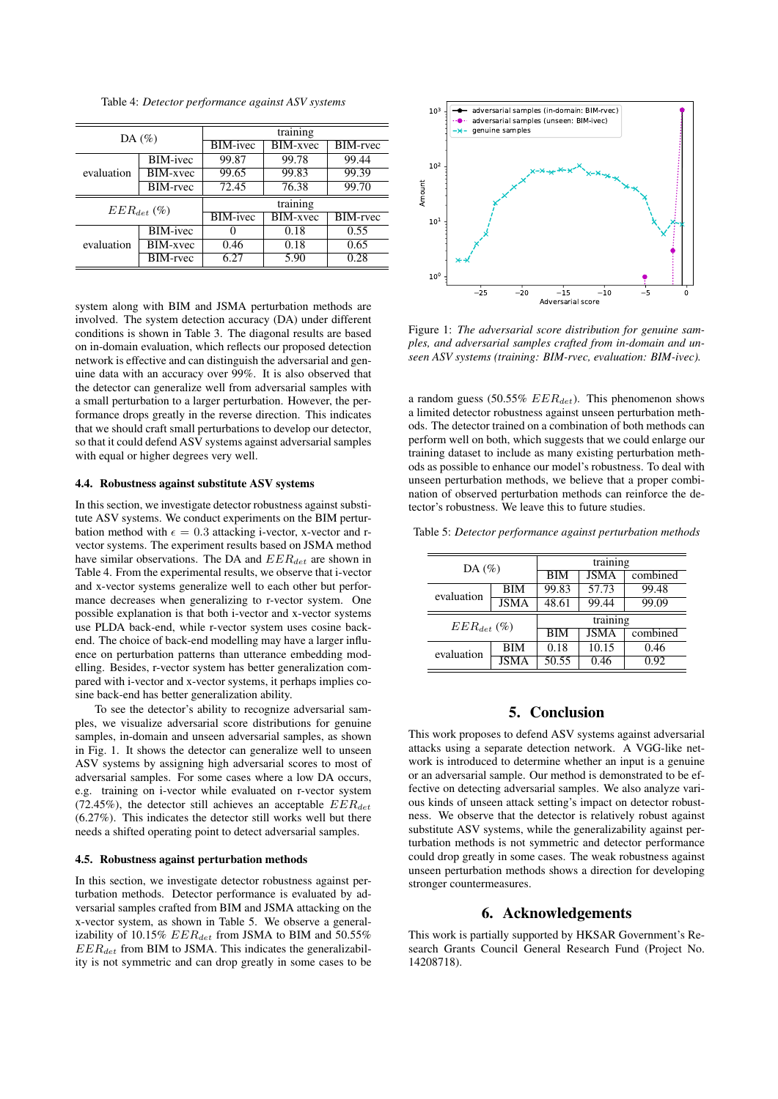Table 4: *Detector performance against ASV systems*

| DA $(\%)$       |                 | training          |                 |                 |  |
|-----------------|-----------------|-------------------|-----------------|-----------------|--|
|                 |                 | <b>BIM-ivec</b>   | <b>BIM-xvec</b> | <b>BIM-rvec</b> |  |
| evaluation      | <b>BIM-ivec</b> | 99.87             | 99.78           | 99.44           |  |
|                 | BIM-xvec        | 99.65             | 99.83           | 99.39           |  |
|                 | <b>BIM-rvec</b> | 72.45             | 76.38           | 99.70           |  |
| $EER_{det}$ (%) |                 | training          |                 |                 |  |
|                 |                 | <b>BIM-ivec</b>   | BIM-xvec        | BIM-rvec        |  |
| evaluation      | <b>BIM-ivec</b> | $\mathbf{\Omega}$ | 0.18            | 0.55            |  |
|                 | <b>BIM-xvec</b> | 0.46              | 0.18            | 0.65            |  |
|                 | <b>BIM-rvec</b> | 6.27              | 5.90            | 0.28            |  |

system along with BIM and JSMA perturbation methods are involved. The system detection accuracy (DA) under different conditions is shown in Table 3. The diagonal results are based on in-domain evaluation, which reflects our proposed detection network is effective and can distinguish the adversarial and genuine data with an accuracy over 99%. It is also observed that the detector can generalize well from adversarial samples with a small perturbation to a larger perturbation. However, the performance drops greatly in the reverse direction. This indicates that we should craft small perturbations to develop our detector, so that it could defend ASV systems against adversarial samples with equal or higher degrees very well.

### 4.4. Robustness against substitute ASV systems

In this section, we investigate detector robustness against substitute ASV systems. We conduct experiments on the BIM perturbation method with  $\epsilon = 0.3$  attacking i-vector, x-vector and rvector systems. The experiment results based on JSMA method have similar observations. The DA and  $EER_{det}$  are shown in Table 4. From the experimental results, we observe that i-vector and x-vector systems generalize well to each other but performance decreases when generalizing to r-vector system. One possible explanation is that both i-vector and x-vector systems use PLDA back-end, while r-vector system uses cosine backend. The choice of back-end modelling may have a larger influence on perturbation patterns than utterance embedding modelling. Besides, r-vector system has better generalization compared with i-vector and x-vector systems, it perhaps implies cosine back-end has better generalization ability.

To see the detector's ability to recognize adversarial samples, we visualize adversarial score distributions for genuine samples, in-domain and unseen adversarial samples, as shown in Fig. 1. It shows the detector can generalize well to unseen ASV systems by assigning high adversarial scores to most of adversarial samples. For some cases where a low DA occurs, e.g. training on i-vector while evaluated on r-vector system (72.45%), the detector still achieves an acceptable  $EER_{det}$ (6.27%). This indicates the detector still works well but there needs a shifted operating point to detect adversarial samples.

#### 4.5. Robustness against perturbation methods

In this section, we investigate detector robustness against perturbation methods. Detector performance is evaluated by adversarial samples crafted from BIM and JSMA attacking on the x-vector system, as shown in Table 5. We observe a generalizability of 10.15%  $EER_{det}$  from JSMA to BIM and 50.55%  $EER_{det}$  from BIM to JSMA. This indicates the generalizability is not symmetric and can drop greatly in some cases to be



Figure 1: *The adversarial score distribution for genuine samples, and adversarial samples crafted from in-domain and unseen ASV systems (training: BIM-rvec, evaluation: BIM-ivec).*

a random guess (50.55%  $EER_{det}$ ). This phenomenon shows a limited detector robustness against unseen perturbation methods. The detector trained on a combination of both methods can perform well on both, which suggests that we could enlarge our training dataset to include as many existing perturbation methods as possible to enhance our model's robustness. To deal with unseen perturbation methods, we believe that a proper combination of observed perturbation methods can reinforce the detector's robustness. We leave this to future studies.

| Table 5: Detector performance against perturbation methods |  |  |  |  |
|------------------------------------------------------------|--|--|--|--|
|------------------------------------------------------------|--|--|--|--|

| DA $(\%)$       |             | training   |             |          |  |
|-----------------|-------------|------------|-------------|----------|--|
|                 |             | <b>BIM</b> | <b>JSMA</b> | combined |  |
| evaluation      | <b>BIM</b>  | 99.83      | 57.73       | 99.48    |  |
|                 | <b>JSMA</b> | 48.61      | 99.44       | 99.09    |  |
| $EER_{det}$ (%) |             | training   |             |          |  |
|                 |             | <b>BIM</b> | <b>JSMA</b> | combined |  |
| evaluation      | <b>BIM</b>  | 0.18       | 10.15       | 0.46     |  |
|                 | <b>JSMA</b> | 50.55      | 0.46        | 0.92     |  |

# 5. Conclusion

This work proposes to defend ASV systems against adversarial attacks using a separate detection network. A VGG-like network is introduced to determine whether an input is a genuine or an adversarial sample. Our method is demonstrated to be effective on detecting adversarial samples. We also analyze various kinds of unseen attack setting's impact on detector robustness. We observe that the detector is relatively robust against substitute ASV systems, while the generalizability against perturbation methods is not symmetric and detector performance could drop greatly in some cases. The weak robustness against unseen perturbation methods shows a direction for developing stronger countermeasures.

# 6. Acknowledgements

This work is partially supported by HKSAR Government's Research Grants Council General Research Fund (Project No. 14208718).